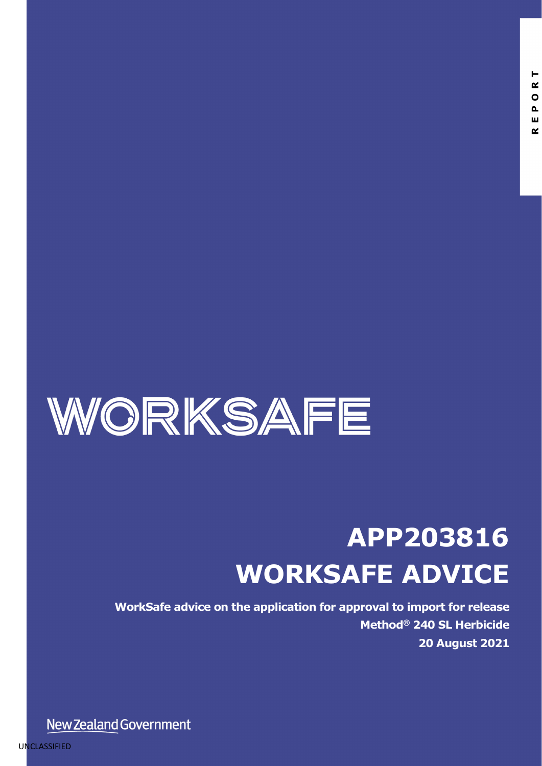

# **APP203816 WORKSAFE ADVICE**

**WorkSafe advice on the application for approval to import for release Method® 240 SL Herbicide 20 August 2021**

New Zealand Government

UNCLASSIFIED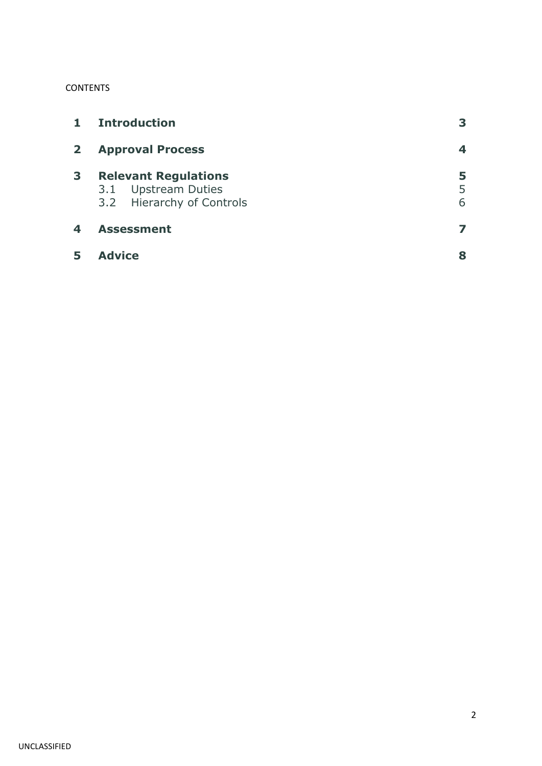#### **CONTENTS**

| $\mathbf{1}$ | <b>Introduction</b>                                                             | 3           |
|--------------|---------------------------------------------------------------------------------|-------------|
| $\mathbf{2}$ | <b>Approval Process</b>                                                         | 4           |
| 3            | <b>Relevant Regulations</b><br>3.1 Upstream Duties<br>3.2 Hierarchy of Controls | 5<br>5<br>6 |
| 4            | <b>Assessment</b>                                                               |             |
|              | <b>Advice</b>                                                                   | 8           |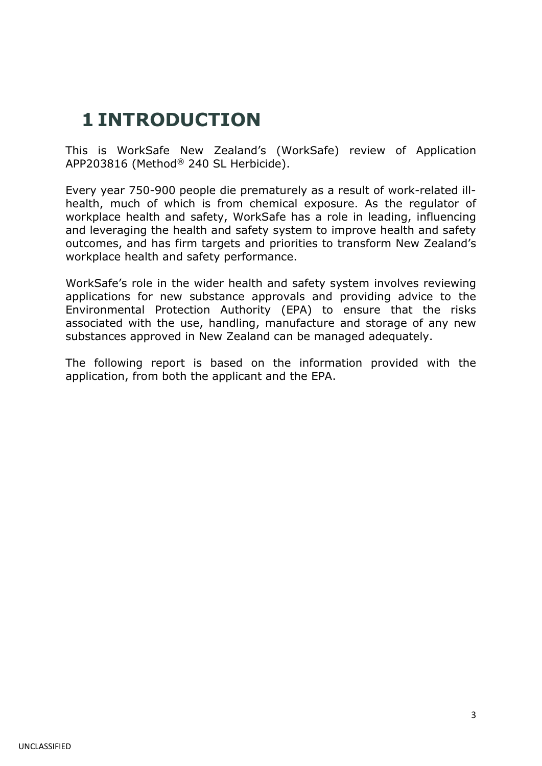### **1 INTRODUCTION**

This is WorkSafe New Zealand's (WorkSafe) review of Application APP203816 (Method® 240 SL Herbicide).

Every year 750-900 people die prematurely as a result of work-related illhealth, much of which is from chemical exposure. As the regulator of workplace health and safety, WorkSafe has a role in leading, influencing and leveraging the health and safety system to improve health and safety outcomes, and has firm targets and priorities to transform New Zealand's workplace health and safety performance.

WorkSafe's role in the wider health and safety system involves reviewing applications for new substance approvals and providing advice to the Environmental Protection Authority (EPA) to ensure that the risks associated with the use, handling, manufacture and storage of any new substances approved in New Zealand can be managed adequately.

The following report is based on the information provided with the application, from both the applicant and the EPA.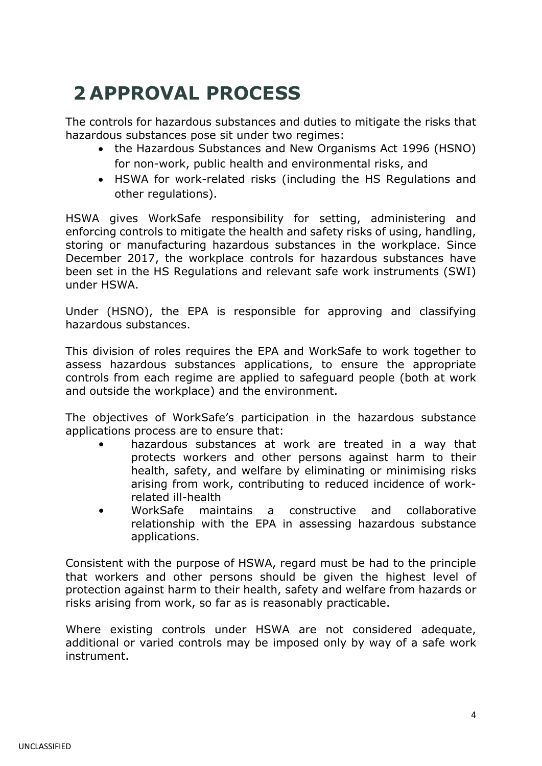# **2 APPROVAL PROCESS**

The controls for hazardous substances and duties to mitigate the risks that hazardous substances pose sit under two regimes:

- the Hazardous Substances and New Organisms Act 1996 (HSNO) for non-work, public health and environmental risks, and
- HSWA for work-related risks (including the HS Regulations and other regulations).

HSWA gives WorkSafe responsibility for setting, administering and enforcing controls to mitigate the health and safety risks of using, handling, storing or manufacturing hazardous substances in the workplace. Since December 2017, the workplace controls for hazardous substances have been set in the HS Regulations and relevant safe work instruments (SWI) under HSWA.

Under (HSNO), the EPA is responsible for approving and classifying hazardous substances.

This division of roles requires the EPA and WorkSafe to work together to assess hazardous substances applications, to ensure the appropriate controls from each regime are applied to safeguard people (both at work and outside the workplace) and the environment.

The objectives of WorkSafe's participation in the hazardous substance applications process are to ensure that:

- hazardous substances at work are treated in a way that protects workers and other persons against harm to their health, safety, and welfare by eliminating or minimising risks arising from work, contributing to reduced incidence of workrelated ill-health
- WorkSafe maintains a constructive and collaborative relationship with the EPA in assessing hazardous substance applications.

Consistent with the purpose of HSWA, regard must be had to the principle that workers and other persons should be given the highest level of protection against harm to their health, safety and welfare from hazards or risks arising from work, so far as is reasonably practicable.

Where existing controls under HSWA are not considered adequate, additional or varied controls may be imposed only by way of a safe work instrument.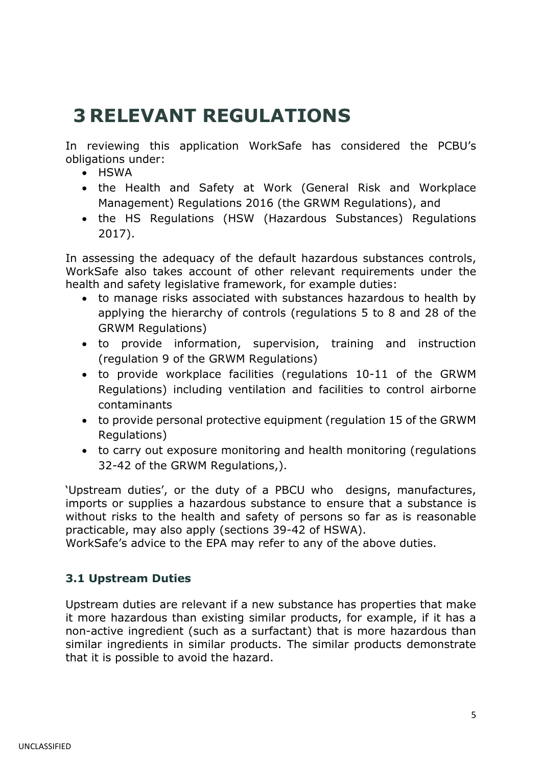### **3 RELEVANT REGULATIONS**

In reviewing this application WorkSafe has considered the PCBU's obligations under:

- HSWA
- the Health and Safety at Work (General Risk and Workplace Management) Regulations 2016 (the GRWM Regulations), and
- the HS Regulations (HSW (Hazardous Substances) Regulations 2017).

In assessing the adequacy of the default hazardous substances controls, WorkSafe also takes account of other relevant requirements under the health and safety legislative framework, for example duties:

- to manage risks associated with substances hazardous to health by applying the hierarchy of controls (regulations 5 to 8 and 28 of the GRWM Regulations)
- to provide information, supervision, training and instruction (regulation 9 of the GRWM Regulations)
- to provide workplace facilities (regulations 10-11 of the GRWM Regulations) including ventilation and facilities to control airborne contaminants
- to provide personal protective equipment (regulation 15 of the GRWM Regulations)
- to carry out exposure monitoring and health monitoring (regulations 32-42 of the GRWM Regulations,).

'Upstream duties', or the duty of a PBCU who designs, manufactures, imports or supplies a hazardous substance to ensure that a substance is without risks to the health and safety of persons so far as is reasonable practicable, may also apply (sections 39-42 of HSWA).

WorkSafe's advice to the EPA may refer to any of the above duties.

#### **3.1 Upstream Duties**

Upstream duties are relevant if a new substance has properties that make it more hazardous than existing similar products, for example, if it has a non-active ingredient (such as a surfactant) that is more hazardous than similar ingredients in similar products. The similar products demonstrate that it is possible to avoid the hazard.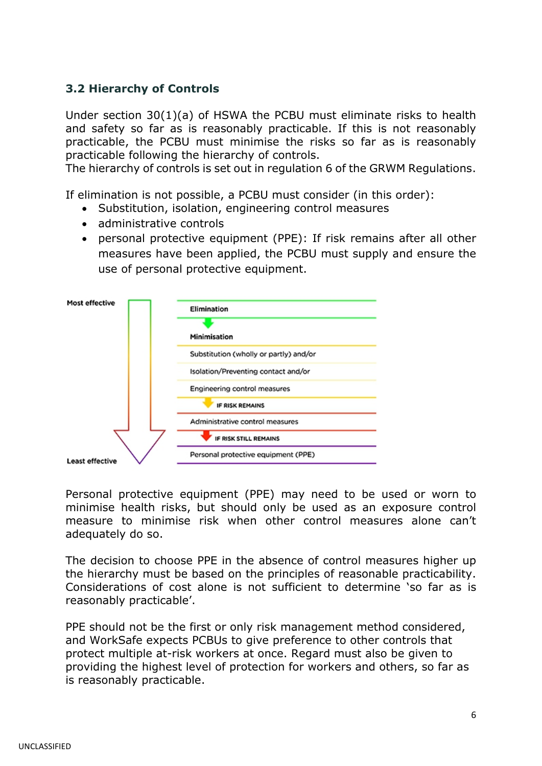#### **3.2 Hierarchy of Controls**

Under section 30(1)(a) of HSWA the PCBU must eliminate risks to health and safety so far as is reasonably practicable. If this is not reasonably practicable, the PCBU must minimise the risks so far as is reasonably practicable following the hierarchy of controls.

The hierarchy of controls is set out in regulation 6 of the GRWM Regulations.

If elimination is not possible, a PCBU must consider (in this order):

- Substitution, isolation, engineering control measures
- administrative controls
- personal protective equipment (PPE): If risk remains after all other measures have been applied, the PCBU must supply and ensure the use of personal protective equipment.



Personal protective equipment (PPE) may need to be used or worn to minimise health risks, but should only be used as an exposure control measure to minimise risk when other control measures alone can't adequately do so.

The decision to choose PPE in the absence of control measures higher up the hierarchy must be based on the principles of reasonable practicability. Considerations of cost alone is not sufficient to determine 'so far as is reasonably practicable'.

PPE should not be the first or only risk management method considered, and WorkSafe expects PCBUs to give preference to other controls that protect multiple at-risk workers at once. Regard must also be given to providing the highest level of protection for workers and others, so far as is reasonably practicable.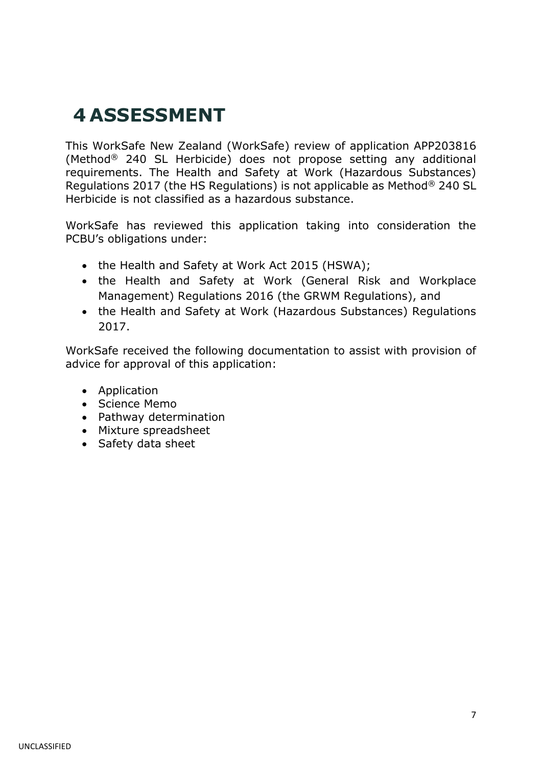### **4 ASSESSMENT**

This WorkSafe New Zealand (WorkSafe) review of application APP203816 (Method® 240 SL Herbicide) does not propose setting any additional requirements. The Health and Safety at Work (Hazardous Substances) Regulations 2017 (the HS Regulations) is not applicable as Method® 240 SL Herbicide is not classified as a hazardous substance.

WorkSafe has reviewed this application taking into consideration the PCBU's obligations under:

- the Health and Safety at Work Act 2015 (HSWA);
- the Health and Safety at Work (General Risk and Workplace Management) Regulations 2016 (the GRWM Regulations), and
- the Health and Safety at Work (Hazardous Substances) Regulations 2017.

WorkSafe received the following documentation to assist with provision of advice for approval of this application:

- Application
- Science Memo
- Pathway determination
- Mixture spreadsheet
- Safety data sheet